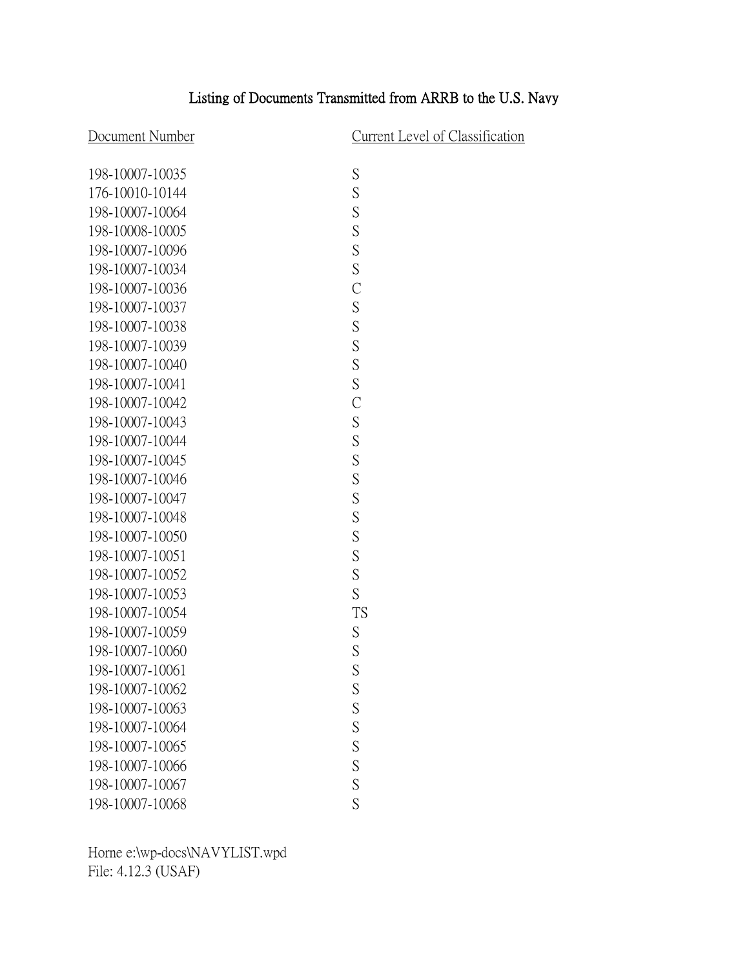## Listing of Documents Transmitted from ARRB to the U.S. Navy

Document Number<br>Current Level of Classification

| 198-10007-10035 | S              |
|-----------------|----------------|
| 176-10010-10144 | S              |
| 198-10007-10064 | S              |
| 198-10008-10005 | S              |
| 198-10007-10096 | S              |
| 198-10007-10034 | S              |
| 198-10007-10036 | $\overline{C}$ |
| 198-10007-10037 | S              |
| 198-10007-10038 | S              |
| 198-10007-10039 | S              |
| 198-10007-10040 | S              |
| 198-10007-10041 | S              |
| 198-10007-10042 | $\overline{C}$ |
| 198-10007-10043 | S              |
| 198-10007-10044 | S              |
| 198-10007-10045 | S              |
| 198-10007-10046 | S              |
| 198-10007-10047 | S              |
| 198-10007-10048 | S              |
| 198-10007-10050 | S              |
| 198-10007-10051 | S              |
| 198-10007-10052 | S              |
| 198-10007-10053 | S              |
| 198-10007-10054 | <b>TS</b>      |
| 198-10007-10059 | S              |
| 198-10007-10060 | S              |
| 198-10007-10061 | S              |
| 198-10007-10062 | S              |
| 198-10007-10063 | S              |
| 198-10007-10064 | S              |
| 198-10007-10065 | S              |
| 198-10007-10066 | S              |
| 198-10007-10067 | $\overline{S}$ |
| 198-10007-10068 | S              |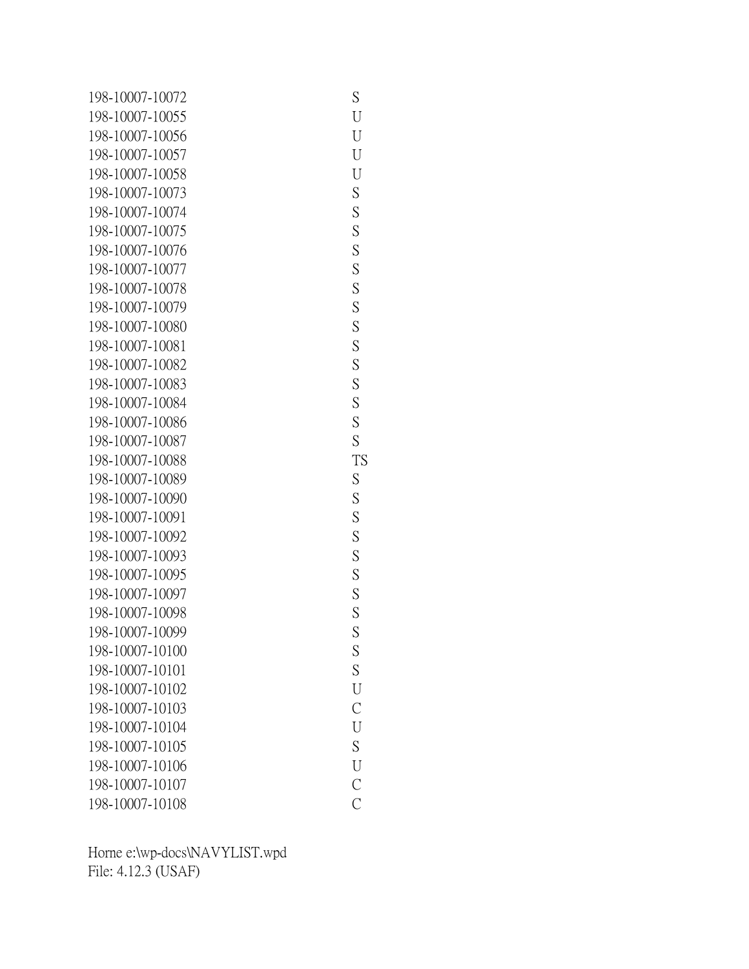| 198-10007-10072 | S              |
|-----------------|----------------|
| 198-10007-10055 | U              |
| 198-10007-10056 | U              |
| 198-10007-10057 | U              |
| 198-10007-10058 | U              |
| 198-10007-10073 | S              |
| 198-10007-10074 | S              |
| 198-10007-10075 | S              |
| 198-10007-10076 | S              |
| 198-10007-10077 | S              |
| 198-10007-10078 | S              |
| 198-10007-10079 | S              |
| 198-10007-10080 | S              |
| 198-10007-10081 | S              |
| 198-10007-10082 | S              |
| 198-10007-10083 | S              |
| 198-10007-10084 | S              |
| 198-10007-10086 | S              |
| 198-10007-10087 | S              |
| 198-10007-10088 | <b>TS</b>      |
| 198-10007-10089 | S              |
| 198-10007-10090 | S              |
| 198-10007-10091 | S              |
| 198-10007-10092 | S              |
| 198-10007-10093 | S              |
| 198-10007-10095 | S              |
| 198-10007-10097 | S              |
| 198-10007-10098 | S              |
| 198-10007-10099 | S              |
| 198-10007-10100 | S              |
| 198-10007-10101 | S              |
| 198-10007-10102 | U              |
| 198-10007-10103 | $\overline{C}$ |
| 198-10007-10104 | U              |
| 198-10007-10105 | S              |
| 198-10007-10106 | U              |
| 198-10007-10107 | $\mathcal{C}$  |
| 198-10007-10108 | $\overline{C}$ |
|                 |                |